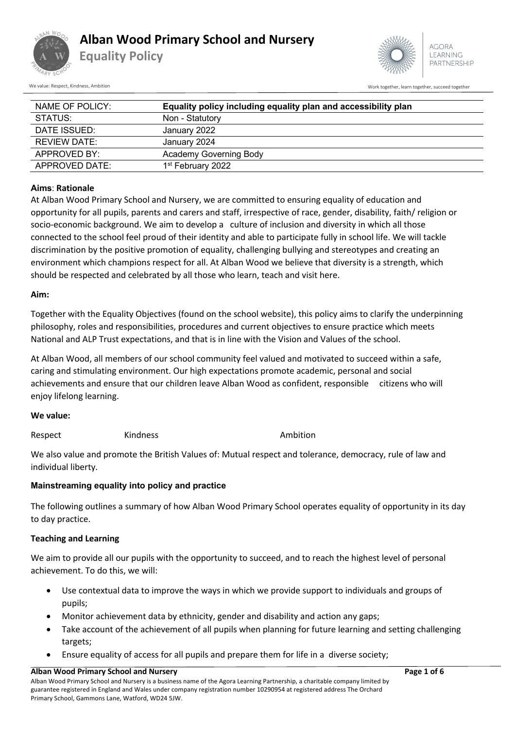

**Equality Policy**



We value: Respect, Kindness, Ambition Work together, succeed together, succeed together, succeed together, succeed together

| NAME OF POLICY:     | Equality policy including equality plan and accessibility plan |  |  |  |
|---------------------|----------------------------------------------------------------|--|--|--|
| STATUS:             | Non - Statutory                                                |  |  |  |
| DATE ISSUED:        | January 2022                                                   |  |  |  |
| <b>REVIEW DATE:</b> | January 2024                                                   |  |  |  |
| APPROVED BY:        | Academy Governing Body                                         |  |  |  |
| APPROVED DATE:      | 1 <sup>st</sup> February 2022                                  |  |  |  |

## **Aims**: **Rationale**

At Alban Wood Primary School and Nursery, we are committed to ensuring equality of education and opportunity for all pupils, parents and carers and staff, irrespective of race, gender, disability, faith/ religion or socio-economic background. We aim to develop a culture of inclusion and diversity in which all those connected to the school feel proud of their identity and able to participate fully in school life. We will tackle discrimination by the positive promotion of equality, challenging bullying and stereotypes and creating an environment which champions respect for all. At Alban Wood we believe that diversity is a strength, which should be respected and celebrated by all those who learn, teach and visit here.

## **Aim:**

Together with the Equality Objectives (found on the school website), this policy aims to clarify the underpinning philosophy, roles and responsibilities, procedures and current objectives to ensure practice which meets National and ALP Trust expectations, and that is in line with the Vision and Values of the school.

At Alban Wood, all members of our school community feel valued and motivated to succeed within a safe, caring and stimulating environment. Our high expectations promote academic, personal and social achievements and ensure that our children leave Alban Wood as confident, responsible citizens who will enjoy lifelong learning.

## **We value:**

Respect Kindness **Kindness** Ambition

We also value and promote the British Values of: Mutual respect and tolerance, democracy, rule of law and individual liberty.

## **Mainstreaming equality into policy and practice**

The following outlines a summary of how Alban Wood Primary School operates equality of opportunity in its day to day practice.

## **Teaching and Learning**

We aim to provide all our pupils with the opportunity to succeed, and to reach the highest level of personal achievement. To do this, we will:

- Use contextual data to improve the ways in which we provide support to individuals and groups of pupils;
- Monitor achievement data by ethnicity, gender and disability and action any gaps;
- Take account of the achievement of all pupils when planning for future learning and setting challenging targets;
- Ensure equality of access for all pupils and prepare them for life in a diverse society;

#### **Alban Wood Primary School and Nursery Page 1 of 6**

Alban Wood Primary School and Nursery is a business name of the Agora Learning Partnership, a charitable company limited by guarantee registered in England and Wales under company registration number 10290954 at registered address The Orchard Primary School, Gammons Lane, Watford, WD24 5JW.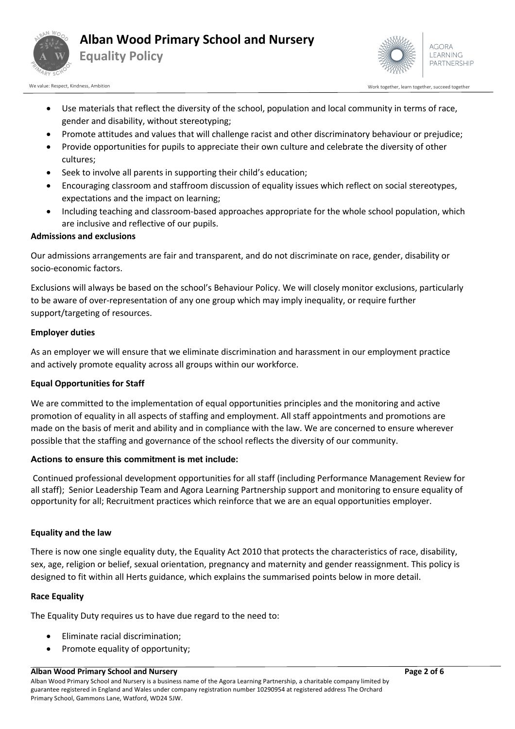



We value: Respect, Kindness, Ambition Work together, accreed together, succeed together, succeed together, succeed together

- Use materials that reflect the diversity of the school, population and local community in terms of race, gender and disability, without stereotyping;
- Promote attitudes and values that will challenge racist and other discriminatory behaviour or prejudice;
- Provide opportunities for pupils to appreciate their own culture and celebrate the diversity of other cultures;
- Seek to involve all parents in supporting their child's education;
- Encouraging classroom and staffroom discussion of equality issues which reflect on social stereotypes, expectations and the impact on learning;
- Including teaching and classroom-based approaches appropriate for the whole school population, which are inclusive and reflective of our pupils.

## **Admissions and exclusions**

Our admissions arrangements are fair and transparent, and do not discriminate on race, gender, disability or socio-economic factors.

Exclusions will always be based on the school's Behaviour Policy. We will closely monitor exclusions, particularly to be aware of over-representation of any one group which may imply inequality, or require further support/targeting of resources.

#### **Employer duties**

As an employer we will ensure that we eliminate discrimination and harassment in our employment practice and actively promote equality across all groups within our workforce.

## **Equal Opportunities for Staff**

We are committed to the implementation of equal opportunities principles and the monitoring and active promotion of equality in all aspects of staffing and employment. All staff appointments and promotions are made on the basis of merit and ability and in compliance with the law. We are concerned to ensure wherever possible that the staffing and governance of the school reflects the diversity of our community.

#### **Actions to ensure this commitment is met include:**

Continued professional development opportunities for all staff (including Performance Management Review for all staff); Senior Leadership Team and Agora Learning Partnership support and monitoring to ensure equality of opportunity for all; Recruitment practices which reinforce that we are an equal opportunities employer.

#### **Equality and the law**

There is now one single equality duty, the Equality Act 2010 that protects the characteristics of race, disability, sex, age, religion or belief, sexual orientation, pregnancy and maternity and gender reassignment. This policy is designed to fit within all Herts guidance, which explains the summarised points below in more detail.

#### **Race Equality**

The Equality Duty requires us to have due regard to the need to:

- Eliminate racial discrimination;
- Promote equality of opportunity;

#### **Alban Wood Primary School and Nursery Page 2 of 6**

Alban Wood Primary School and Nursery is a business name of the Agora Learning Partnership, a charitable company limited by guarantee registered in England and Wales under company registration number 10290954 at registered address The Orchard Primary School, Gammons Lane, Watford, WD24 5JW.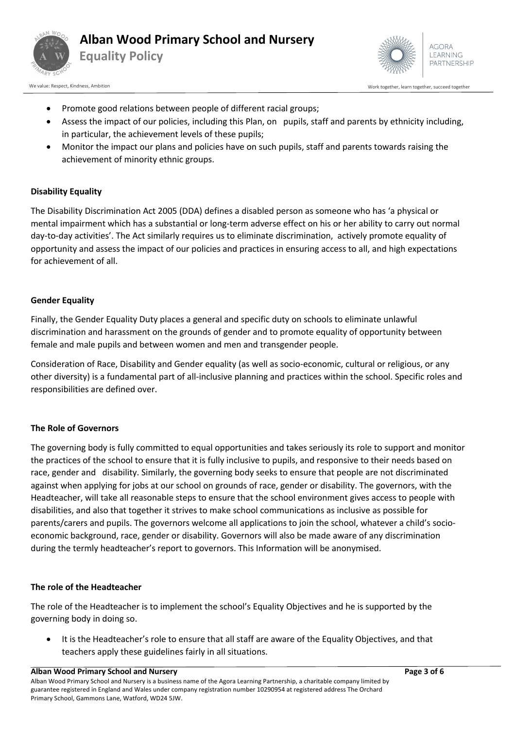



- Promote good relations between people of different racial groups;
- Assess the impact of our policies, including this Plan, on pupils, staff and parents by ethnicity including, in particular, the achievement levels of these pupils;
- Monitor the impact our plans and policies have on such pupils, staff and parents towards raising the achievement of minority ethnic groups.

## **Disability Equality**

The Disability Discrimination Act 2005 (DDA) defines a disabled person as someone who has 'a physical or mental impairment which has a substantial or long-term adverse effect on his or her ability to carry out normal day-to-day activities'. The Act similarly requires us to eliminate discrimination, actively promote equality of opportunity and assess the impact of our policies and practices in ensuring access to all, and high expectations for achievement of all.

#### **Gender Equality**

Finally, the Gender Equality Duty places a general and specific duty on schools to eliminate unlawful discrimination and harassment on the grounds of gender and to promote equality of opportunity between female and male pupils and between women and men and transgender people.

Consideration of Race, Disability and Gender equality (as well as socio-economic, cultural or religious, or any other diversity) is a fundamental part of all-inclusive planning and practices within the school. Specific roles and responsibilities are defined over.

## **The Role of Governors**

The governing body is fully committed to equal opportunities and takes seriously its role to support and monitor the practices of the school to ensure that it is fully inclusive to pupils, and responsive to their needs based on race, gender and disability. Similarly, the governing body seeks to ensure that people are not discriminated against when applying for jobs at our school on grounds of race, gender or disability. The governors, with the Headteacher, will take all reasonable steps to ensure that the school environment gives access to people with disabilities, and also that together it strives to make school communications as inclusive as possible for parents/carers and pupils. The governors welcome all applications to join the school, whatever a child's socioeconomic background, race, gender or disability. Governors will also be made aware of any discrimination during the termly headteacher's report to governors. This Information will be anonymised.

## **The role of the Headteacher**

The role of the Headteacher is to implement the school's Equality Objectives and he is supported by the governing body in doing so.

• It is the Headteacher's role to ensure that all staff are aware of the Equality Objectives, and that teachers apply these guidelines fairly in all situations.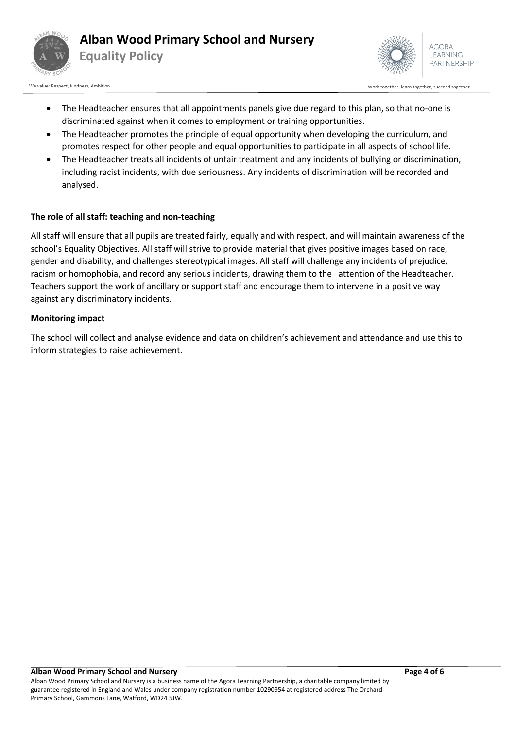



We value: Respect, Kindness, Ambition Work together, accreed together, succeed together, succeed together, succeed together

- The Headteacher ensures that all appointments panels give due regard to this plan, so that no-one is discriminated against when it comes to employment or training opportunities.
- The Headteacher promotes the principle of equal opportunity when developing the curriculum, and promotes respect for other people and equal opportunities to participate in all aspects of school life.
- The Headteacher treats all incidents of unfair treatment and any incidents of bullying or discrimination, including racist incidents, with due seriousness. Any incidents of discrimination will be recorded and analysed.

# **The role of all staff: teaching and non-teaching**

All staff will ensure that all pupils are treated fairly, equally and with respect, and will maintain awareness of the school's Equality Objectives. All staff will strive to provide material that gives positive images based on race, gender and disability, and challenges stereotypical images. All staff will challenge any incidents of prejudice, racism or homophobia, and record any serious incidents, drawing them to the attention of the Headteacher. Teachers support the work of ancillary or support staff and encourage them to intervene in a positive way against any discriminatory incidents.

# **Monitoring impact**

The school will collect and analyse evidence and data on children's achievement and attendance and use this to inform strategies to raise achievement.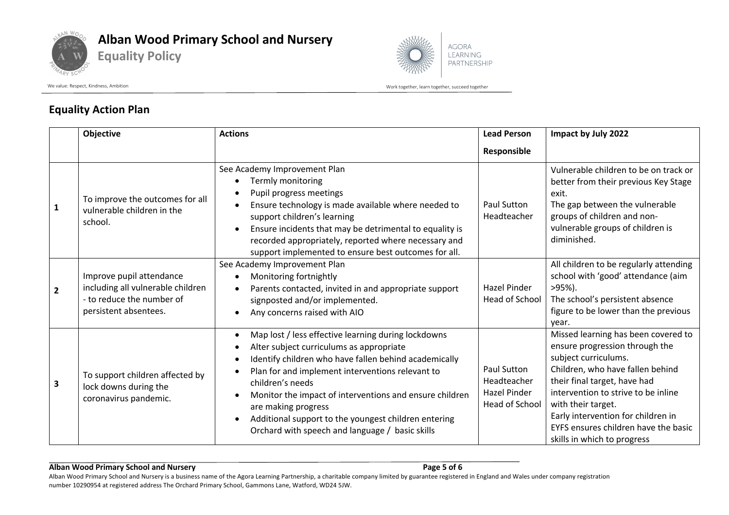

# **Alban Wood Primary School and Nursery**

**Equality Policy**



We value: Respect, Kindness, Ambition and the state of the state of the state of the state of the state of the state of the state of the state of the state of the state of the state of the state of the state of the state o

# **Equality Action Plan**

|              | Objective                                                                                                           | <b>Actions</b>                                                                                                                                                                                                                                                                                                                                                                                                                                          | <b>Lead Person</b>                                           | Impact by July 2022                                                                                                                                                                                                                                                                                                                         |
|--------------|---------------------------------------------------------------------------------------------------------------------|---------------------------------------------------------------------------------------------------------------------------------------------------------------------------------------------------------------------------------------------------------------------------------------------------------------------------------------------------------------------------------------------------------------------------------------------------------|--------------------------------------------------------------|---------------------------------------------------------------------------------------------------------------------------------------------------------------------------------------------------------------------------------------------------------------------------------------------------------------------------------------------|
|              |                                                                                                                     |                                                                                                                                                                                                                                                                                                                                                                                                                                                         | Responsible                                                  |                                                                                                                                                                                                                                                                                                                                             |
| $\mathbf{1}$ | To improve the outcomes for all<br>vulnerable children in the<br>school.                                            | See Academy Improvement Plan<br>Termly monitoring<br>Pupil progress meetings<br>Ensure technology is made available where needed to<br>support children's learning<br>Ensure incidents that may be detrimental to equality is<br>recorded appropriately, reported where necessary and<br>support implemented to ensure best outcomes for all.                                                                                                           | <b>Paul Sutton</b><br>Headteacher                            | Vulnerable children to be on track or<br>better from their previous Key Stage<br>exit.<br>The gap between the vulnerable<br>groups of children and non-<br>vulnerable groups of children is<br>diminished.                                                                                                                                  |
| $\mathbf{2}$ | Improve pupil attendance<br>including all vulnerable children<br>- to reduce the number of<br>persistent absentees. | See Academy Improvement Plan<br>Monitoring fortnightly<br>Parents contacted, invited in and appropriate support<br>signposted and/or implemented.<br>Any concerns raised with AIO                                                                                                                                                                                                                                                                       | <b>Hazel Pinder</b><br>Head of School                        | All children to be regularly attending<br>school with 'good' attendance (aim<br>$>95%$ ).<br>The school's persistent absence<br>figure to be lower than the previous<br>year.                                                                                                                                                               |
| 3            | To support children affected by<br>lock downs during the<br>coronavirus pandemic.                                   | Map lost / less effective learning during lockdowns<br>$\bullet$<br>Alter subject curriculums as appropriate<br>Identify children who have fallen behind academically<br>$\bullet$<br>Plan for and implement interventions relevant to<br>children's needs<br>Monitor the impact of interventions and ensure children<br>are making progress<br>Additional support to the youngest children entering<br>Orchard with speech and language / basic skills | Paul Sutton<br>Headteacher<br>Hazel Pinder<br>Head of School | Missed learning has been covered to<br>ensure progression through the<br>subject curriculums.<br>Children, who have fallen behind<br>their final target, have had<br>intervention to strive to be inline<br>with their target.<br>Early intervention for children in<br>EYFS ensures children have the basic<br>skills in which to progress |

#### **Alban Wood Primary School and Nursery Page 5 of 6**

Alban Wood Primary School and Nursery is a business name of the Agora Learning Partnership, a charitable company limited by guarantee registered in England and Wales under company registration number 10290954 at registered address The Orchard Primary School, Gammons Lane, Watford, WD24 5JW.